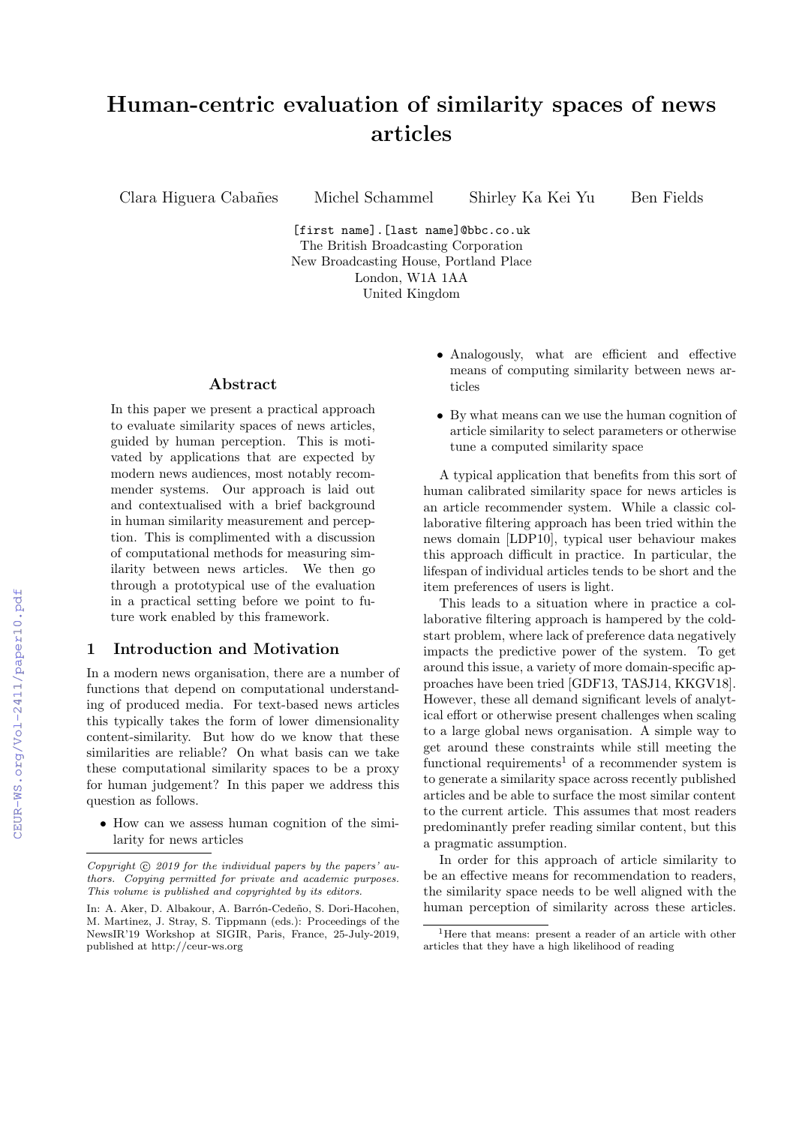# Human-centric evaluation of similarity spaces of news articles

Clara Higuera Cabañes Michel Schammel Shirley Ka Kei Yu Ben Fields

[first name].[last name]@bbc.co.uk The British Broadcasting Corporation New Broadcasting House, Portland Place London, W1A 1AA United Kingdom

#### Abstract

In this paper we present a practical approach to evaluate similarity spaces of news articles, guided by human perception. This is motivated by applications that are expected by modern news audiences, most notably recommender systems. Our approach is laid out and contextualised with a brief background in human similarity measurement and perception. This is complimented with a discussion of computational methods for measuring similarity between news articles. We then go through a prototypical use of the evaluation in a practical setting before we point to future work enabled by this framework.

# 1 Introduction and Motivation

In a modern news organisation, there are a number of functions that depend on computational understanding of produced media. For text-based news articles this typically takes the form of lower dimensionality content-similarity. But how do we know that these similarities are reliable? On what basis can we take these computational similarity spaces to be a proxy for human judgement? In this paper we address this question as follows.

• How can we assess human cognition of the similarity for news articles

- Analogously, what are efficient and effective means of computing similarity between news articles
- By what means can we use the human cognition of article similarity to select parameters or otherwise tune a computed similarity space

A typical application that benefits from this sort of human calibrated similarity space for news articles is an article recommender system. While a classic collaborative filtering approach has been tried within the news domain [LDP10], typical user behaviour makes this approach difficult in practice. In particular, the lifespan of individual articles tends to be short and the item preferences of users is light.

This leads to a situation where in practice a collaborative filtering approach is hampered by the coldstart problem, where lack of preference data negatively impacts the predictive power of the system. To get around this issue, a variety of more domain-specific approaches have been tried [GDF13, TASJ14, KKGV18]. However, these all demand significant levels of analytical effort or otherwise present challenges when scaling to a large global news organisation. A simple way to get around these constraints while still meeting the functional requirements<sup>1</sup> of a recommender system is to generate a similarity space across recently published articles and be able to surface the most similar content to the current article. This assumes that most readers predominantly prefer reading similar content, but this a pragmatic assumption.

In order for this approach of article similarity to be an effective means for recommendation to readers, the similarity space needs to be well aligned with the human perception of similarity across these articles.

Copyright  $\odot$  2019 for the individual papers by the papers' authors. Copying permitted for private and academic purposes. This volume is published and copyrighted by its editors.

In: A. Aker, D. Albakour, A. Barrón-Cedeño, S. Dori-Hacohen, M. Martinez, J. Stray, S. Tippmann (eds.): Proceedings of the NewsIR'19 Workshop at SIGIR, Paris, France, 25-July-2019, published at http://ceur-ws.org

<sup>&</sup>lt;sup>1</sup>Here that means: present a reader of an article with other articles that they have a high likelihood of reading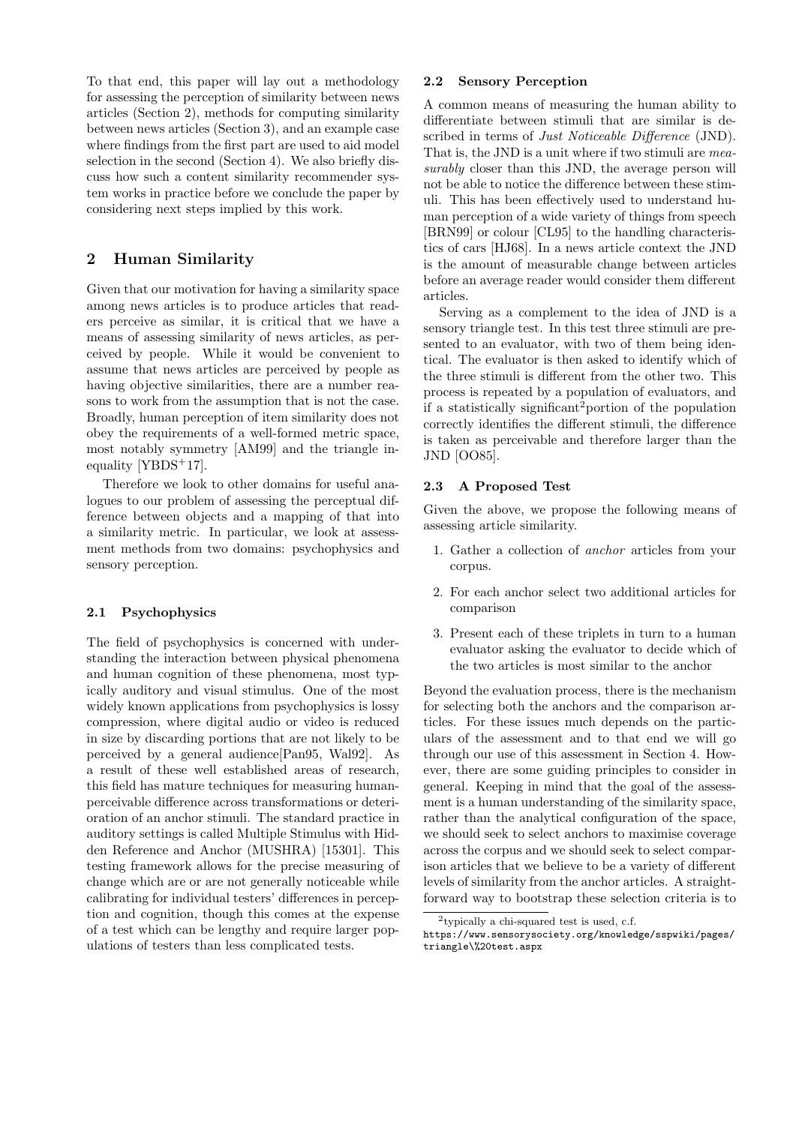To that end, this paper will lay out a methodology for assessing the perception of similarity between news articles (Section 2), methods for computing similarity between news articles (Section 3), and an example case where findings from the first part are used to aid model selection in the second (Section 4). We also briefly discuss how such a content similarity recommender system works in practice before we conclude the paper by considering next steps implied by this work.

# 2 Human Similarity

Given that our motivation for having a similarity space among news articles is to produce articles that readers perceive as similar, it is critical that we have a means of assessing similarity of news articles, as perceived by people. While it would be convenient to assume that news articles are perceived by people as having objective similarities, there are a number reasons to work from the assumption that is not the case. Broadly, human perception of item similarity does not obey the requirements of a well-formed metric space, most notably symmetry [AM99] and the triangle inequality [YBDS+17].

Therefore we look to other domains for useful analogues to our problem of assessing the perceptual difference between objects and a mapping of that into a similarity metric. In particular, we look at assessment methods from two domains: psychophysics and sensory perception.

#### 2.1 Psychophysics

The field of psychophysics is concerned with understanding the interaction between physical phenomena and human cognition of these phenomena, most typically auditory and visual stimulus. One of the most widely known applications from psychophysics is lossy compression, where digital audio or video is reduced in size by discarding portions that are not likely to be perceived by a general audience[Pan95, Wal92]. As a result of these well established areas of research, this field has mature techniques for measuring humanperceivable difference across transformations or deterioration of an anchor stimuli. The standard practice in auditory settings is called Multiple Stimulus with Hidden Reference and Anchor (MUSHRA) [15301]. This testing framework allows for the precise measuring of change which are or are not generally noticeable while calibrating for individual testers' differences in perception and cognition, though this comes at the expense of a test which can be lengthy and require larger populations of testers than less complicated tests.

#### 2.2 Sensory Perception

A common means of measuring the human ability to differentiate between stimuli that are similar is described in terms of *Just Noticeable Difference* (JND). That is, the JND is a unit where if two stimuli are measurably closer than this JND, the average person will not be able to notice the difference between these stimuli. This has been effectively used to understand human perception of a wide variety of things from speech [BRN99] or colour [CL95] to the handling characteristics of cars [HJ68]. In a news article context the JND is the amount of measurable change between articles before an average reader would consider them different articles.

Serving as a complement to the idea of JND is a sensory triangle test. In this test three stimuli are presented to an evaluator, with two of them being identical. The evaluator is then asked to identify which of the three stimuli is different from the other two. This process is repeated by a population of evaluators, and if a statistically significant2portion of the population correctly identifies the different stimuli, the difference is taken as perceivable and therefore larger than the JND [OO85].

#### 2.3 A Proposed Test

Given the above, we propose the following means of assessing article similarity.

- 1. Gather a collection of anchor articles from your corpus.
- 2. For each anchor select two additional articles for comparison
- 3. Present each of these triplets in turn to a human evaluator asking the evaluator to decide which of the two articles is most similar to the anchor

Beyond the evaluation process, there is the mechanism for selecting both the anchors and the comparison articles. For these issues much depends on the particulars of the assessment and to that end we will go through our use of this assessment in Section 4. However, there are some guiding principles to consider in general. Keeping in mind that the goal of the assessment is a human understanding of the similarity space, rather than the analytical configuration of the space, we should seek to select anchors to maximise coverage across the corpus and we should seek to select comparison articles that we believe to be a variety of different levels of similarity from the anchor articles. A straightforward way to bootstrap these selection criteria is to

<sup>2</sup> typically a chi-squared test is used, c.f.

https://www.sensorysociety.org/knowledge/sspwiki/pages/ triangle\%20test.aspx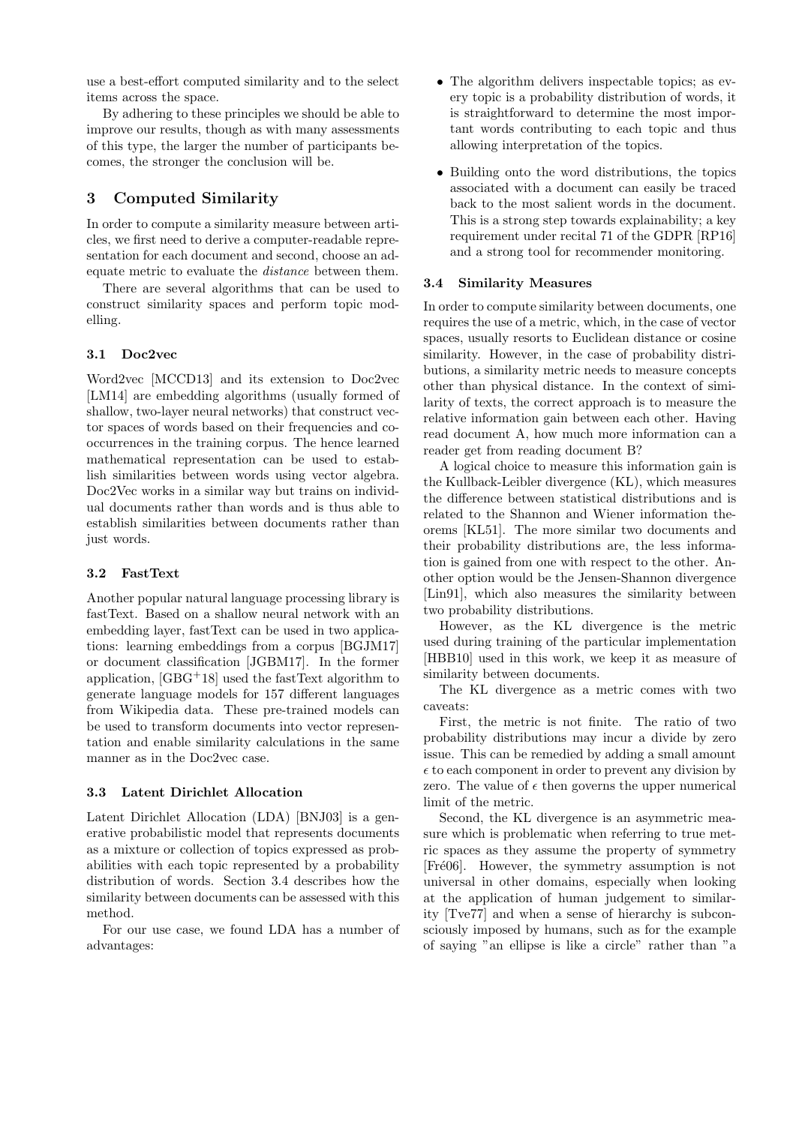use a best-effort computed similarity and to the select items across the space.

By adhering to these principles we should be able to improve our results, though as with many assessments of this type, the larger the number of participants becomes, the stronger the conclusion will be.

# 3 Computed Similarity

In order to compute a similarity measure between articles, we first need to derive a computer-readable representation for each document and second, choose an adequate metric to evaluate the distance between them.

There are several algorithms that can be used to construct similarity spaces and perform topic modelling.

## 3.1 Doc2vec

Word2vec [MCCD13] and its extension to Doc2vec [LM14] are embedding algorithms (usually formed of shallow, two-layer neural networks) that construct vector spaces of words based on their frequencies and cooccurrences in the training corpus. The hence learned mathematical representation can be used to establish similarities between words using vector algebra. Doc2Vec works in a similar way but trains on individual documents rather than words and is thus able to establish similarities between documents rather than just words.

#### 3.2 FastText

Another popular natural language processing library is fastText. Based on a shallow neural network with an embedding layer, fastText can be used in two applications: learning embeddings from a corpus [BGJM17] or document classification [JGBM17]. In the former application,  $[GBG^+18]$  used the fastText algorithm to generate language models for 157 different languages from Wikipedia data. These pre-trained models can be used to transform documents into vector representation and enable similarity calculations in the same manner as in the Doc2vec case.

# 3.3 Latent Dirichlet Allocation

Latent Dirichlet Allocation (LDA) [BNJ03] is a generative probabilistic model that represents documents as a mixture or collection of topics expressed as probabilities with each topic represented by a probability distribution of words. Section 3.4 describes how the similarity between documents can be assessed with this method.

For our use case, we found LDA has a number of advantages:

- The algorithm delivers inspectable topics; as every topic is a probability distribution of words, it is straightforward to determine the most important words contributing to each topic and thus allowing interpretation of the topics.
- Building onto the word distributions, the topics associated with a document can easily be traced back to the most salient words in the document. This is a strong step towards explainability; a key requirement under recital 71 of the GDPR [RP16] and a strong tool for recommender monitoring.

#### 3.4 Similarity Measures

In order to compute similarity between documents, one requires the use of a metric, which, in the case of vector spaces, usually resorts to Euclidean distance or cosine similarity. However, in the case of probability distributions, a similarity metric needs to measure concepts other than physical distance. In the context of similarity of texts, the correct approach is to measure the relative information gain between each other. Having read document A, how much more information can a reader get from reading document B?

A logical choice to measure this information gain is the Kullback-Leibler divergence (KL), which measures the difference between statistical distributions and is related to the Shannon and Wiener information theorems [KL51]. The more similar two documents and their probability distributions are, the less information is gained from one with respect to the other. Another option would be the Jensen-Shannon divergence [Lin91], which also measures the similarity between two probability distributions.

However, as the KL divergence is the metric used during training of the particular implementation [HBB10] used in this work, we keep it as measure of similarity between documents.

The KL divergence as a metric comes with two caveats:

First, the metric is not finite. The ratio of two probability distributions may incur a divide by zero issue. This can be remedied by adding a small amount  $\epsilon$  to each component in order to prevent any division by zero. The value of  $\epsilon$  then governs the upper numerical limit of the metric.

Second, the KL divergence is an asymmetric measure which is problematic when referring to true metric spaces as they assume the property of symmetry [Fré06]. However, the symmetry assumption is not universal in other domains, especially when looking at the application of human judgement to similarity [Tve77] and when a sense of hierarchy is subconsciously imposed by humans, such as for the example of saying "an ellipse is like a circle" rather than "a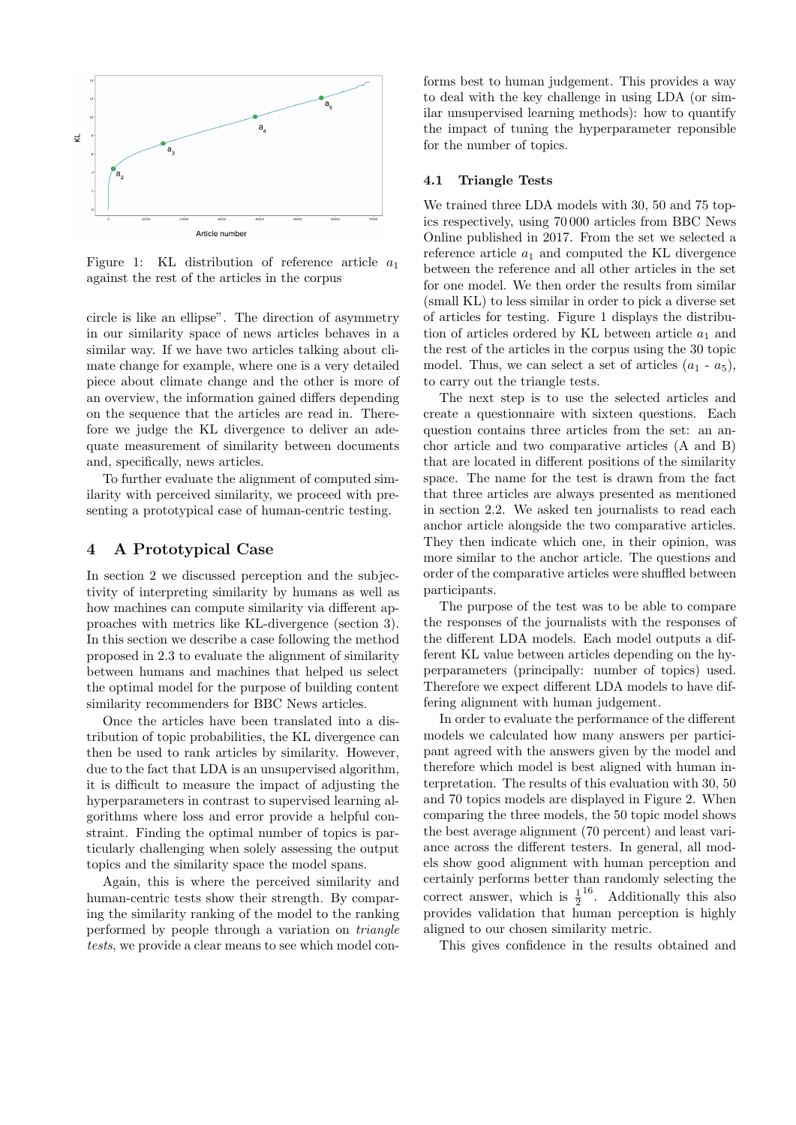

Figure 1: KL distribution of reference article  $a_1$ against the rest of the articles in the corpus

circle is like an ellipse". The direction of asymmetry in our similarity space of news articles behaves in a similar way. If we have two articles talking about climate change for example, where one is a very detailed piece about climate change and the other is more of an overview, the information gained differs depending on the sequence that the articles are read in. Therefore we judge the KL divergence to deliver an adequate measurement of similarity between documents and, specifically, news articles.

To further evaluate the alignment of computed similarity with perceived similarity, we proceed with presenting a prototypical case of human-centric testing.

## 4 A Prototypical Case

In section 2 we discussed perception and the subjectivity of interpreting similarity by humans as well as how machines can compute similarity via different approaches with metrics like KL-divergence (section 3). In this section we describe a case following the method proposed in 2.3 to evaluate the alignment of similarity between humans and machines that helped us select the optimal model for the purpose of building content similarity recommenders for BBC News articles.

Once the articles have been translated into a distribution of topic probabilities, the KL divergence can then be used to rank articles by similarity. However, due to the fact that LDA is an unsupervised algorithm, it is difficult to measure the impact of adjusting the hyperparameters in contrast to supervised learning algorithms where loss and error provide a helpful constraint. Finding the optimal number of topics is particularly challenging when solely assessing the output topics and the similarity space the model spans.

Again, this is where the perceived similarity and human-centric tests show their strength. By comparing the similarity ranking of the model to the ranking performed by people through a variation on triangle tests, we provide a clear means to see which model con-

forms best to human judgement. This provides a way to deal with the key challenge in using LDA (or similar unsupervised learning methods): how to quantify the impact of tuning the hyperparameter reponsible for the number of topics.

#### 4.1 Triangle Tests

We trained three LDA models with 30, 50 and 75 topics respectively, using 70 000 articles from BBC News Online published in 2017. From the set we selected a reference article  $a_1$  and computed the KL divergence between the reference and all other articles in the set for one model. We then order the results from similar (small KL) to less similar in order to pick a diverse set of articles for testing. Figure 1 displays the distribution of articles ordered by KL between article  $a_1$  and the rest of the articles in the corpus using the 30 topic model. Thus, we can select a set of articles  $(a_1 - a_5)$ , to carry out the triangle tests.

The next step is to use the selected articles and create a questionnaire with sixteen questions. Each question contains three articles from the set: an anchor article and two comparative articles (A and B) that are located in different positions of the similarity space. The name for the test is drawn from the fact that three articles are always presented as mentioned in section 2.2. We asked ten journalists to read each anchor article alongside the two comparative articles. They then indicate which one, in their opinion, was more similar to the anchor article. The questions and order of the comparative articles were shuffled between participants.

The purpose of the test was to be able to compare the responses of the journalists with the responses of the different LDA models. Each model outputs a different KL value between articles depending on the hyperparameters (principally: number of topics) used. Therefore we expect different LDA models to have differing alignment with human judgement.

In order to evaluate the performance of the different models we calculated how many answers per participant agreed with the answers given by the model and therefore which model is best aligned with human interpretation. The results of this evaluation with 30, 50 and 70 topics models are displayed in Figure 2. When comparing the three models, the 50 topic model shows the best average alignment (70 percent) and least variance across the different testers. In general, all models show good alignment with human perception and certainly performs better than randomly selecting the correct answer, which is  $\frac{1}{2}^{16}$ . Additionally this also provides validation that human perception is highly aligned to our chosen similarity metric.

This gives confidence in the results obtained and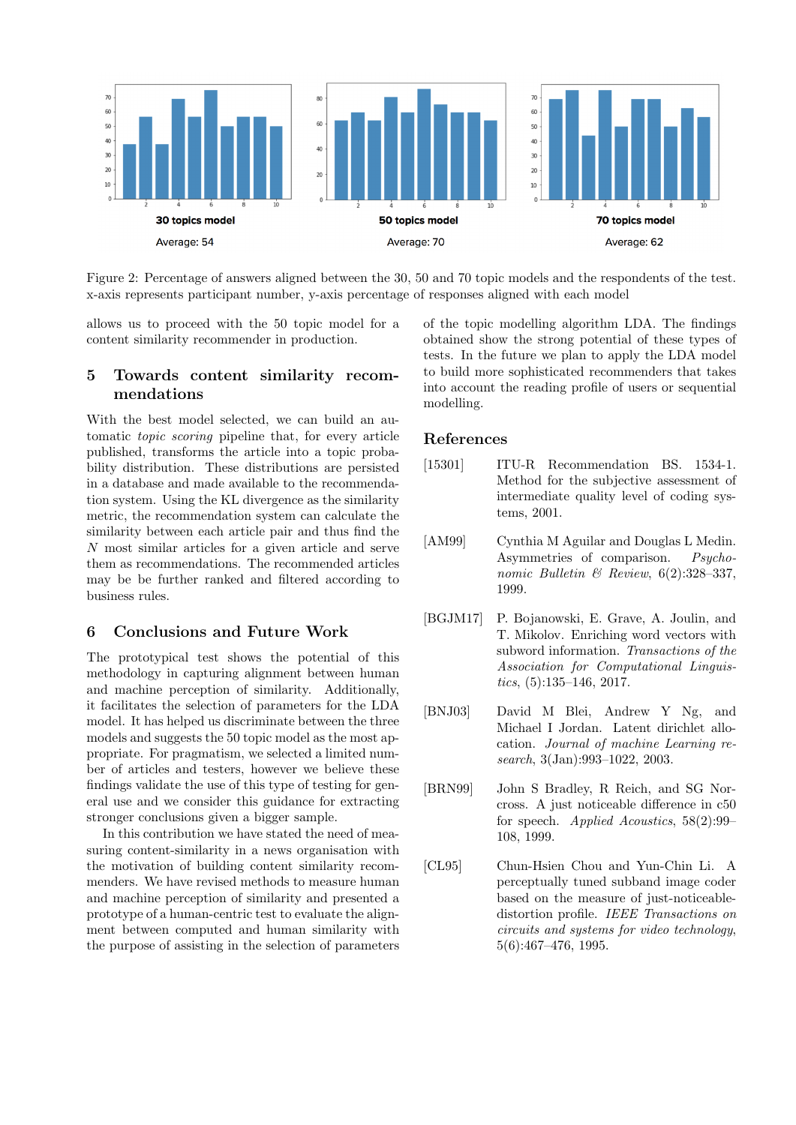

Figure 2: Percentage of answers aligned between the 30, 50 and 70 topic models and the respondents of the test. x-axis represents participant number, y-axis percentage of responses aligned with each model

allows us to proceed with the 50 topic model for a content similarity recommender in production.

## 5 Towards content similarity recommendations

With the best model selected, we can build an automatic topic scoring pipeline that, for every article published, transforms the article into a topic probability distribution. These distributions are persisted in a database and made available to the recommendation system. Using the KL divergence as the similarity metric, the recommendation system can calculate the similarity between each article pair and thus find the N most similar articles for a given article and serve them as recommendations. The recommended articles may be be further ranked and filtered according to business rules.

#### 6 Conclusions and Future Work

The prototypical test shows the potential of this methodology in capturing alignment between human and machine perception of similarity. Additionally, it facilitates the selection of parameters for the LDA model. It has helped us discriminate between the three models and suggests the 50 topic model as the most appropriate. For pragmatism, we selected a limited number of articles and testers, however we believe these findings validate the use of this type of testing for general use and we consider this guidance for extracting stronger conclusions given a bigger sample.

In this contribution we have stated the need of measuring content-similarity in a news organisation with the motivation of building content similarity recommenders. We have revised methods to measure human and machine perception of similarity and presented a prototype of a human-centric test to evaluate the alignment between computed and human similarity with the purpose of assisting in the selection of parameters

of the topic modelling algorithm LDA. The findings obtained show the strong potential of these types of tests. In the future we plan to apply the LDA model to build more sophisticated recommenders that takes into account the reading profile of users or sequential modelling.

## References

- [15301] ITU-R Recommendation BS. 1534-1. Method for the subjective assessment of intermediate quality level of coding systems, 2001.
- [AM99] Cynthia M Aguilar and Douglas L Medin. Asymmetries of comparison. Psychonomic Bulletin  $\mathcal B$  Review, 6(2):328-337, 1999.
- [BGJM17] P. Bojanowski, E. Grave, A. Joulin, and T. Mikolov. Enriching word vectors with subword information. Transactions of the Association for Computational Linguistics,  $(5):135-146$ ,  $2017$ .
- [BNJ03] David M Blei, Andrew Y Ng, and Michael I Jordan. Latent dirichlet allocation. Journal of machine Learning research, 3(Jan):993–1022, 2003.
- [BRN99] John S Bradley, R Reich, and SG Norcross. A just noticeable difference in c50 for speech. Applied Acoustics, 58(2):99– 108, 1999.
- [CL95] Chun-Hsien Chou and Yun-Chin Li. A perceptually tuned subband image coder based on the measure of just-noticeabledistortion profile. IEEE Transactions on circuits and systems for video technology, 5(6):467–476, 1995.